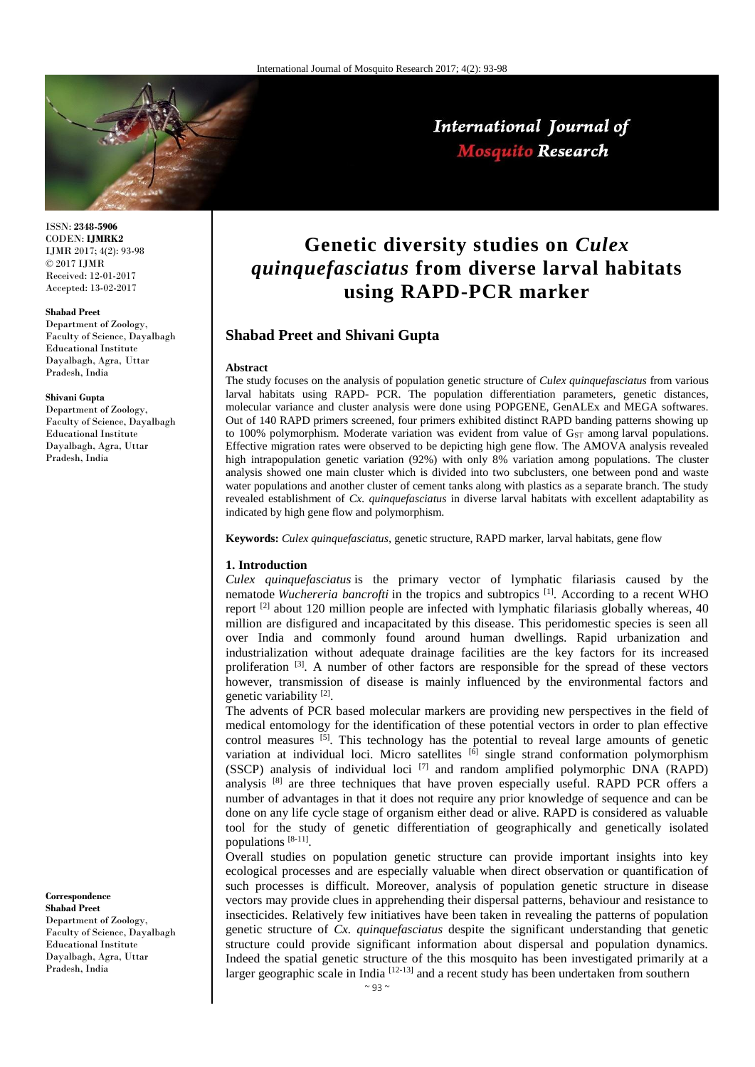

# International Journal of **Mosquito Research**

ISSN: **2348-5906** CODEN: **IJMRK2** IJMR 2017; 4(2): 93-98 © 2017 IJMR Received: 12-01-2017 Accepted: 13-02-2017

#### **Shabad Preet**

Department of Zoology, Faculty of Science, Dayalbagh Educational Institute Dayalbagh, Agra, Uttar Pradesh, India

#### **Shivani Gupta**

Department of Zoology, Faculty of Science, Dayalbagh Educational Institute Dayalbagh, Agra, Uttar Pradesh, India

**Correspondence Shabad Preet**

Department of Zoology, Faculty of Science, Dayalbagh Educational Institute Dayalbagh, Agra, Uttar Pradesh, India

# **Genetic diversity studies on** *Culex quinquefasciatus* **from diverse larval habitats using RAPD-PCR marker**

# **Shabad Preet and Shivani Gupta**

#### **Abstract**

The study focuses on the analysis of population genetic structure of *Culex quinquefasciatus* from various larval habitats using RAPD- PCR. The population differentiation parameters, genetic distances, molecular variance and cluster analysis were done using POPGENE, GenALEx and MEGA softwares. Out of 140 RAPD primers screened, four primers exhibited distinct RAPD banding patterns showing up to 100% polymorphism. Moderate variation was evident from value of G<sub>ST</sub> among larval populations. Effective migration rates were observed to be depicting high gene flow. The AMOVA analysis revealed high intrapopulation genetic variation (92%) with only 8% variation among populations. The cluster analysis showed one main cluster which is divided into two subclusters, one between pond and waste water populations and another cluster of cement tanks along with plastics as a separate branch. The study revealed establishment of *Cx. quinquefasciatus* in diverse larval habitats with excellent adaptability as indicated by high gene flow and polymorphism.

**Keywords:** *Culex quinquefasciatus,* genetic structure, RAPD marker, larval habitats, gene flow

#### **1. Introduction**

*Culex quinquefasciatus* is the primary vector of lymphatic filariasis caused by the nematode *Wuchereria bancrofti* in the tropics and subtropics [1]. According to a recent WHO report [2] about 120 million people are infected with lymphatic filariasis globally whereas, 40 million are disfigured and incapacitated by this disease. This peridomestic species is seen all over India and commonly found around human dwellings. Rapid urbanization and industrialization without adequate drainage facilities are the key factors for its increased proliferation  $[3]$ . A number of other factors are responsible for the spread of these vectors however, transmission of disease is mainly influenced by the environmental factors and genetic variability<sup>[2]</sup>.

The advents of PCR based molecular markers are providing new perspectives in the field of medical entomology for the identification of these potential vectors in order to plan effective control measures  $\overline{[5]}$ . This technology has the potential to reveal large amounts of genetic variation at individual loci. Micro satellites <sup>[6]</sup> single strand conformation polymorphism (SSCP) analysis of individual loci  $[7]$  and random amplified polymorphic DNA (RAPD) analysis  $[8]$  are three techniques that have proven especially useful. RAPD PCR offers a number of advantages in that it does not require any prior knowledge of sequence and can be done on any life cycle stage of organism either dead or alive. RAPD is considered as valuable tool for the study of genetic differentiation of geographically and genetically isolated populations [8-11] .

Overall studies on population genetic structure can provide important insights into key ecological processes and are especially valuable when direct observation or quantification of such processes is difficult. Moreover, analysis of population genetic structure in disease vectors may provide clues in apprehending their dispersal patterns, behaviour and resistance to insecticides. Relatively few initiatives have been taken in revealing the patterns of population genetic structure of *Cx. quinquefasciatus* despite the significant understanding that genetic structure could provide significant information about dispersal and population dynamics. Indeed the spatial genetic structure of the this mosquito has been investigated primarily at a larger geographic scale in India<sup>[12-13]</sup> and a recent study has been undertaken from southern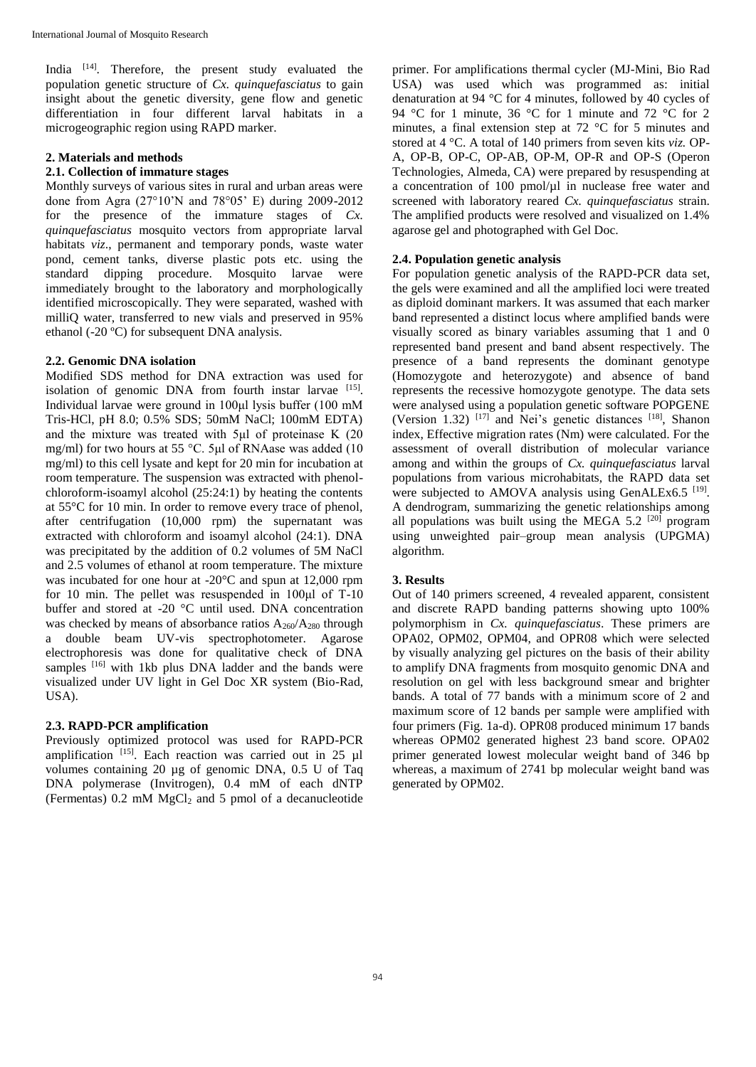India <sup>[14]</sup>. Therefore, the present study evaluated the population genetic structure of *Cx. quinquefasciatus* to gain insight about the genetic diversity, gene flow and genetic differentiation in four different larval habitats in a microgeographic region using RAPD marker.

## **2. Materials and methods**

# **2.1. Collection of immature stages**

Monthly surveys of various sites in rural and urban areas were done from Agra (27°10'N and 78°05' E) during 2009-2012 for the presence of the immature stages of *Cx. quinquefasciatus* mosquito vectors from appropriate larval habitats *viz*., permanent and temporary ponds, waste water pond, cement tanks, diverse plastic pots etc. using the standard dipping procedure. Mosquito larvae were immediately brought to the laboratory and morphologically identified microscopically. They were separated, washed with milliQ water, transferred to new vials and preserved in 95% ethanol (-20 ºC) for subsequent DNA analysis.

### **2.2. Genomic DNA isolation**

Modified SDS method for DNA extraction was used for isolation of genomic DNA from fourth instar larvae [15]. Individual larvae were ground in 100μl lysis buffer (100 mM Tris-HCl, pH 8.0; 0.5% SDS; 50mM NaCl; 100mM EDTA) and the mixture was treated with 5μl of proteinase K (20 mg/ml) for two hours at 55 °C. 5μl of RNAase was added (10 mg/ml) to this cell lysate and kept for 20 min for incubation at room temperature. The suspension was extracted with phenolchloroform-isoamyl alcohol (25:24:1) by heating the contents at 55°C for 10 min. In order to remove every trace of phenol, after centrifugation (10,000 rpm) the supernatant was extracted with chloroform and isoamyl alcohol (24:1). DNA was precipitated by the addition of 0.2 volumes of 5M NaCl and 2.5 volumes of ethanol at room temperature. The mixture was incubated for one hour at -20<sup>o</sup>C and spun at 12,000 rpm for 10 min. The pellet was resuspended in 100μl of T-10 buffer and stored at -20 °C until used. DNA concentration was checked by means of absorbance ratios A<sub>260</sub>/A<sub>280</sub> through a double beam UV-vis spectrophotometer. Agarose electrophoresis was done for qualitative check of DNA samples [16] with 1kb plus DNA ladder and the bands were visualized under UV light in Gel Doc XR system (Bio-Rad, USA).

### **2.3. RAPD-PCR amplification**

Previously optimized protocol was used for RAPD-PCR amplification [15]. Each reaction was carried out in 25 µl volumes containing 20 µg of genomic DNA, 0.5 U of Taq DNA polymerase (Invitrogen), 0.4 mM of each dNTP (Fermentas)  $0.2 \text{ mM } MgCl<sub>2</sub>$  and 5 pmol of a decanucleotide

primer. For amplifications thermal cycler (MJ-Mini, Bio Rad USA) was used which was programmed as: initial denaturation at 94 °C for 4 minutes, followed by 40 cycles of 94 °C for 1 minute, 36 °C for 1 minute and 72 °C for 2 minutes, a final extension step at 72 °C for 5 minutes and stored at 4 °C. A total of 140 primers from seven kits *viz.* OP-A, OP-B, OP-C, OP-AB, OP-M, OP-R and OP-S (Operon Technologies, Almeda, CA) were prepared by resuspending at a concentration of 100 pmol/µl in nuclease free water and screened with laboratory reared *Cx. quinquefasciatus* strain. The amplified products were resolved and visualized on 1.4% agarose gel and photographed with Gel Doc.

## **2.4. Population genetic analysis**

For population genetic analysis of the RAPD-PCR data set, the gels were examined and all the amplified loci were treated as diploid dominant markers. It was assumed that each marker band represented a distinct locus where amplified bands were visually scored as binary variables assuming that 1 and 0 represented band present and band absent respectively. The presence of a band represents the dominant genotype (Homozygote and heterozygote) and absence of band represents the recessive homozygote genotype. The data sets were analysed using a population genetic software POPGENE (Version 1.32)  $[17]$  and Nei's genetic distances  $[18]$ , Shanon index, Effective migration rates (Nm) were calculated. For the assessment of overall distribution of molecular variance among and within the groups of *Cx. quinquefasciatus* larval populations from various microhabitats, the RAPD data set were subjected to AMOVA analysis using GenALEx6.5<sup>[19]</sup>. A dendrogram, summarizing the genetic relationships among all populations was built using the MEGA 5.2  $[20]$  program using unweighted pair–group mean analysis (UPGMA) algorithm.

# **3. Results**

Out of 140 primers screened, 4 revealed apparent, consistent and discrete RAPD banding patterns showing upto 100% polymorphism in *Cx. quinquefasciatus*. These primers are OPA02, OPM02, OPM04, and OPR08 which were selected by visually analyzing gel pictures on the basis of their ability to amplify DNA fragments from mosquito genomic DNA and resolution on gel with less background smear and brighter bands. A total of 77 bands with a minimum score of 2 and maximum score of 12 bands per sample were amplified with four primers (Fig. 1a-d). OPR08 produced minimum 17 bands whereas OPM02 generated highest 23 band score. OPA02 primer generated lowest molecular weight band of 346 bp whereas, a maximum of 2741 bp molecular weight band was generated by OPM02.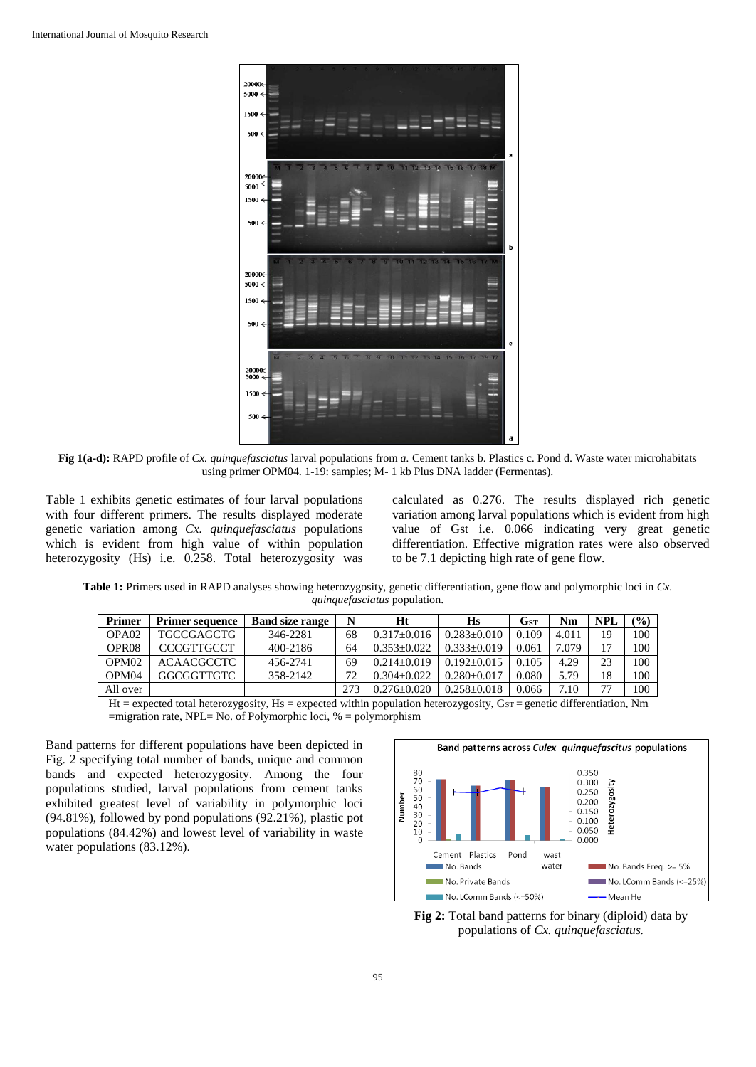

**Fig 1(a-d):** RAPD profile of *Cx. quinquefasciatus* larval populations from *a.* Cement tanks b. Plastics c. Pond d. Waste water microhabitats using primer OPM04. 1-19: samples; M- 1 kb Plus DNA ladder (Fermentas).

Table 1 exhibits genetic estimates of four larval populations with four different primers. The results displayed moderate genetic variation among *Cx. quinquefasciatus* populations which is evident from high value of within population heterozygosity (Hs) i.e. 0.258. Total heterozygosity was

calculated as 0.276. The results displayed rich genetic variation among larval populations which is evident from high value of Gst i.e. 0.066 indicating very great genetic differentiation. Effective migration rates were also observed to be 7.1 depicting high rate of gene flow.

**Table 1:** Primers used in RAPD analyses showing heterozygosity, genetic differentiation, gene flow and polymorphic loci in *Cx. quinquefasciatus* population.

| Primer            | <b>Primer sequence</b> | <b>Band size range</b> | N                | Ht                                                                    | Hs              | Gst   | Nm                            | <b>NPL</b> | $\frac{1}{2}$ |
|-------------------|------------------------|------------------------|------------------|-----------------------------------------------------------------------|-----------------|-------|-------------------------------|------------|---------------|
| OPA <sub>02</sub> | <b>TGCCGAGCTG</b>      | 346-2281               | 68               | $0.317 + 0.016$                                                       | $0.283 + 0.010$ | 0.109 | 4.011                         | 19         | 100           |
| OPR <sub>08</sub> | <b>CCCGTTGCCT</b>      | 400-2186               | 64               | $0.353+0.022$                                                         | $0.333+0.019$   | 0.061 | 7.079                         | 17         | 100           |
| OPM <sub>02</sub> | <b>ACAACGCCTC</b>      | 456-2741               | 69               | $0.214 + 0.019$                                                       | $0.192 + 0.015$ | 0.105 | 4.29                          | 23         | 100           |
| OPM <sub>04</sub> | GGCGGTTGTC             | 358-2142               | 72               | $0.304 + 0.022$                                                       | $0.280 + 0.017$ | 0.080 | 5.79                          | 18         | 100           |
| All over          |                        |                        | 273              | $0.276 + 0.020$                                                       | $0.258 + 0.018$ | 0.066 | 7.10                          | 77         | 100           |
| TT.               | .                      |                        | $-1 - 1 - 1 - 1$ | $\mathbf{r}$ , and $\mathbf{r}$ , and $\mathbf{r}$ , and $\mathbf{r}$ | $\cdot$ $\sim$  |       | $\mathbf{r}$ and $\mathbf{r}$ |            | $\mathbf{r}$  |

Ht = expected total heterozygosity, Hs = expected within population heterozygosity,  $G_{ST}$  = genetic differentiation, Nm =migration rate, NPL= No. of Polymorphic loci, % = polymorphism

Band patterns for different populations have been depicted in Fig. 2 specifying total number of bands, unique and common bands and expected heterozygosity. Among the four populations studied, larval populations from cement tanks exhibited greatest level of variability in polymorphic loci (94.81%), followed by pond populations (92.21%), plastic pot populations (84.42%) and lowest level of variability in waste water populations (83.12%).



Fig 2: Total band patterns for binary (diploid) data by populations of *Cx. quinquefasciatus.*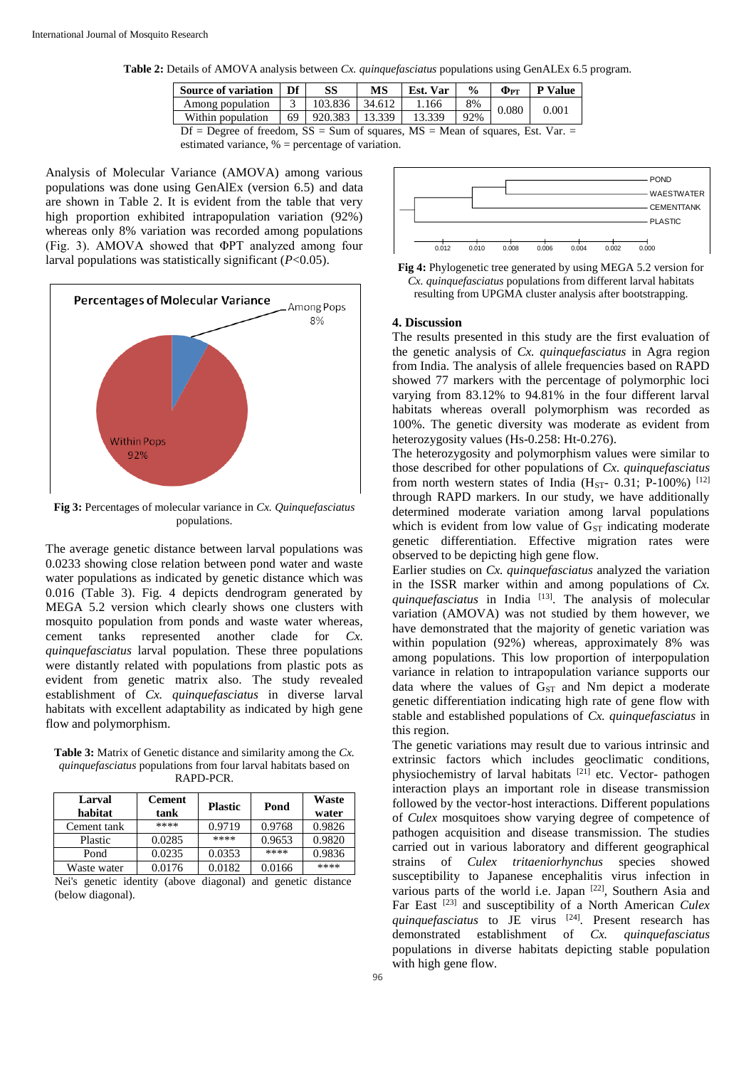**Table 2:** Details of AMOVA analysis between *Cx. quinquefasciatus* populations using GenALEx 6.5 program.

| Source of variation   Df                                                           |  | SS                    | MS     | Est. Var | $\frac{0}{0}$ | $\Phi$ <sub>PT</sub> | <b>P</b> Value |
|------------------------------------------------------------------------------------|--|-----------------------|--------|----------|---------------|----------------------|----------------|
| Among population                                                                   |  | 103.836               | 34.612 | 1.166    | 8%            | 0.080                | 0.001          |
| Within population                                                                  |  | 69   920.383   13.339 |        | 13.339   | 92%           |                      |                |
| Df = Degree of freedom, $SS = Sum$ of squares, $MS = Mean$ of squares, Est. Var. = |  |                       |        |          |               |                      |                |

estimated variance, % = percentage of variation.

Analysis of Molecular Variance (AMOVA) among various populations was done using GenAlEx (version 6.5) and data are shown in Table 2. It is evident from the table that very high proportion exhibited intrapopulation variation (92%) whereas only 8% variation was recorded among populations (Fig. 3). AMOVA showed that ΦPT analyzed among four larval populations was statistically significant (*P*<0.05).



**Fig 3:** Percentages of molecular variance in *Cx. Quinquefasciatus*  populations.

The average genetic distance between larval populations was 0.0233 showing close relation between pond water and waste water populations as indicated by genetic distance which was 0.016 (Table 3). Fig. 4 depicts dendrogram generated by MEGA 5.2 version which clearly shows one clusters with mosquito population from ponds and waste water whereas, cement tanks represented another clade for *Cx. quinquefasciatus* larval population. These three populations were distantly related with populations from plastic pots as evident from genetic matrix also. The study revealed establishment of *Cx. quinquefasciatus* in diverse larval habitats with excellent adaptability as indicated by high gene flow and polymorphism.

**Table 3:** Matrix of Genetic distance and similarity among the *Cx. quinquefasciatus* populations from four larval habitats based on RAPD-PCR.

| Larval<br>habitat | <b>Cement</b><br>tank | <b>Plastic</b> | Pond   | Waste<br>water |
|-------------------|-----------------------|----------------|--------|----------------|
| Cement tank       | ****                  | 0.9719         | 0.9768 | 0.9826         |
| Plastic           | 0.0285                | ****           | 0.9653 | 0.9820         |
| Pond              | 0.0235                | 0.0353         | ****   | 0.9836         |
| Waste water       | 0.0176                | 0.0182         | 0.0166 | ****           |

Nei's genetic identity (above diagonal) and genetic distance (below diagonal).



**Fig 4:** Phylogenetic tree generated by using MEGA 5.2 version for *Cx. quinquefasciatus* populations from different larval habitats resulting from UPGMA cluster analysis after bootstrapping.

#### **4. Discussion**

The results presented in this study are the first evaluation of the genetic analysis of *Cx. quinquefasciatus* in Agra region from India. The analysis of allele frequencies based on RAPD showed 77 markers with the percentage of polymorphic loci varying from 83.12% to 94.81% in the four different larval habitats whereas overall polymorphism was recorded as 100%. The genetic diversity was moderate as evident from heterozygosity values (Hs-0.258: Ht-0.276).

The heterozygosity and polymorphism values were similar to those described for other populations of *Cx. quinquefasciatus* from north western states of India ( $H<sub>ST</sub>$ - 0.31; P-100%) <sup>[12]</sup> through RAPD markers. In our study, we have additionally determined moderate variation among larval populations which is evident from low value of  $G<sub>ST</sub>$  indicating moderate genetic differentiation. Effective migration rates were observed to be depicting high gene flow.

Earlier studies on *Cx. quinquefasciatus* analyzed the variation in the ISSR marker within and among populations of *Cx. quinquefasciatus* in India [13]. The analysis of molecular variation (AMOVA) was not studied by them however, we have demonstrated that the majority of genetic variation was within population (92%) whereas, approximately 8% was among populations. This low proportion of interpopulation variance in relation to intrapopulation variance supports our data where the values of  $G<sub>ST</sub>$  and Nm depict a moderate genetic differentiation indicating high rate of gene flow with stable and established populations of *Cx. quinquefasciatus* in this region.

The genetic variations may result due to various intrinsic and extrinsic factors which includes geoclimatic conditions, physiochemistry of larval habitats <sup>[21]</sup> etc. Vector- pathogen interaction plays an important role in disease transmission followed by the vector-host interactions. Different populations of *Culex* mosquitoes show varying degree of competence of pathogen acquisition and disease transmission. The studies carried out in various laboratory and different geographical strains of *Culex tritaeniorhynchus* species showed susceptibility to Japanese encephalitis virus infection in various parts of the world i.e. Japan [22], Southern Asia and Far East [23] and susceptibility of a North American *Culex quinquefasciatus* to JE virus [24]. Present research has demonstrated establishment of *Cx. quinquefasciatus* populations in diverse habitats depicting stable population with high gene flow.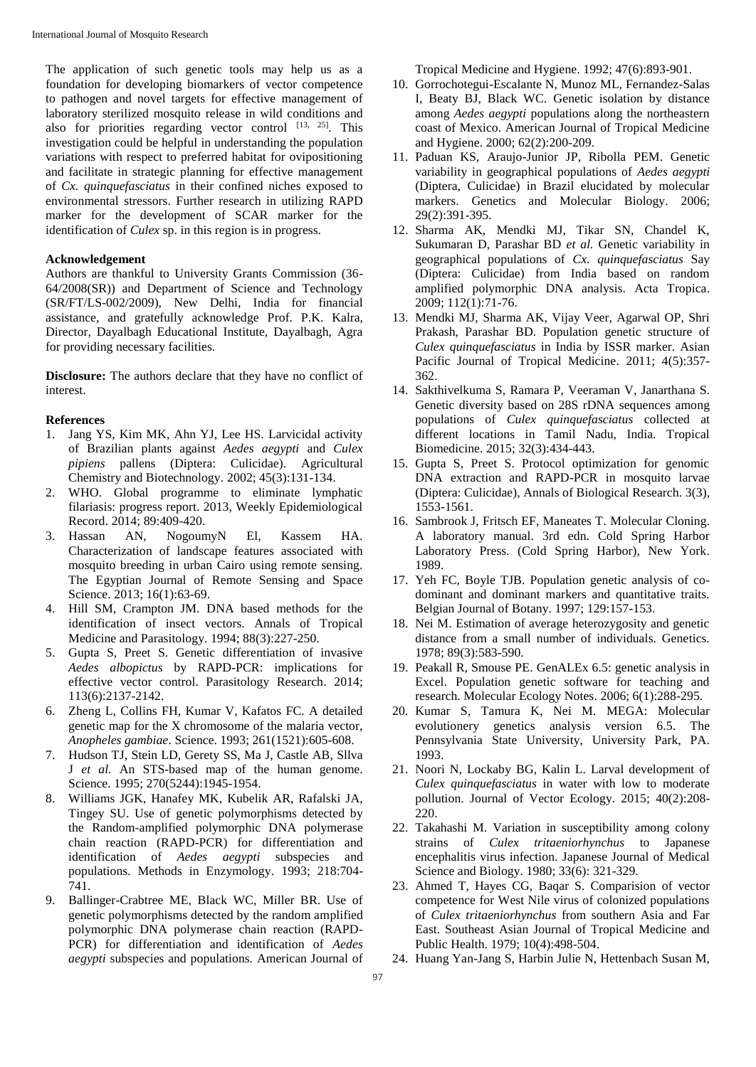The application of such genetic tools may help us as a foundation for developing biomarkers of vector competence to pathogen and novel targets for effective management of laboratory sterilized mosquito release in wild conditions and also for priorities regarding vector control  $[13, 25]$ . This investigation could be helpful in understanding the population variations with respect to preferred habitat for ovipositioning and facilitate in strategic planning for effective management of *Cx. quinquefasciatus* in their confined niches exposed to environmental stressors. Further research in utilizing RAPD marker for the development of SCAR marker for the identification of *Culex* sp. in this region is in progress.

#### **Acknowledgement**

Authors are thankful to University Grants Commission (36- 64/2008(SR)) and Department of Science and Technology (SR/FT/LS-002/2009), New Delhi, India for financial assistance, and gratefully acknowledge Prof. P.K. Kalra, Director, Dayalbagh Educational Institute, Dayalbagh, Agra for providing necessary facilities.

**Disclosure:** The authors declare that they have no conflict of interest.

#### **References**

- 1. Jang YS, Kim MK, Ahn YJ, Lee HS. Larvicidal activity of Brazilian plants against *Aedes aegypti* and *Culex pipiens* pallens (Diptera: Culicidae). Agricultural Chemistry and Biotechnology. 2002; 45(3):131-134.
- 2. WHO. Global programme to eliminate lymphatic filariasis: progress report. 2013, Weekly Epidemiological Record. 2014; 89:409-420.
- 3. Hassan AN, NogoumyN El, Kassem HA. Characterization of landscape features associated with mosquito breeding in urban Cairo using remote sensing. The Egyptian Journal of Remote Sensing and Space Science. 2013; 16(1):63-69.
- 4. Hill SM, Crampton JM. DNA based methods for the identification of insect vectors. Annals of Tropical Medicine and Parasitology. 1994; 88(3):227-250.
- 5. Gupta S, Preet S. Genetic differentiation of invasive *Aedes albopictus* by RAPD-PCR: implications for effective vector control. Parasitology Research. 2014; 113(6):2137-2142.
- 6. Zheng L, Collins FH, Kumar V, Kafatos FC. A detailed genetic map for the X chromosome of the malaria vector, *Anopheles gambiae*. Science. 1993; 261(1521):605-608.
- 7. Hudson TJ, Stein LD, Gerety SS, Ma J, Castle AB, Sllva J *et al.* An STS-based map of the human genome. Science. 1995; 270(5244):1945-1954.
- 8. Williams JGK, Hanafey MK, Kubelik AR, Rafalski JA, Tingey SU. Use of genetic polymorphisms detected by the Random-amplified polymorphic DNA polymerase chain reaction (RAPD-PCR) for differentiation and identification of *Aedes aegypti* subspecies and populations. Methods in Enzymology. 1993; 218:704- 741.
- 9. Ballinger-Crabtree ME, Black WC, Miller BR. Use of genetic polymorphisms detected by the random amplified polymorphic DNA polymerase chain reaction (RAPD-PCR) for differentiation and identification of *Aedes aegypti* subspecies and populations. American Journal of

Tropical Medicine and Hygiene. 1992; 47(6):893-901.

- 10. Gorrochotegui-Escalante N, Munoz ML, Fernandez-Salas I, Beaty BJ, Black WC. Genetic isolation by distance among *Aedes aegypti* populations along the northeastern coast of Mexico. American Journal of Tropical Medicine and Hygiene. 2000; 62(2):200-209.
- 11. Paduan KS, Araujo-Junior JP, Ribolla PEM. Genetic variability in geographical populations of *Aedes aegypti* (Diptera, Culicidae) in Brazil elucidated by molecular markers. Genetics and Molecular Biology. 2006; 29(2):391-395.
- 12. Sharma AK, Mendki MJ, Tikar SN, Chandel K, Sukumaran D, Parashar BD *et al.* Genetic variability in geographical populations of *Cx. quinquefasciatus* Say (Diptera: Culicidae) from India based on random amplified polymorphic DNA analysis. Acta Tropica. 2009; 112(1):71-76.
- 13. Mendki MJ, Sharma AK, Vijay Veer, Agarwal OP, Shri Prakash, Parashar BD. Population genetic structure of *Culex quinquefasciatus* in India by ISSR marker. Asian Pacific Journal of Tropical Medicine. 2011; 4(5):357- 362.
- 14. Sakthivelkuma S, Ramara P, Veeraman V, Janarthana S. Genetic diversity based on 28S rDNA sequences among populations of *Culex quinquefasciatus* collected at different locations in Tamil Nadu, India. Tropical Biomedicine. 2015; 32(3):434-443.
- 15. Gupta S, Preet S. Protocol optimization for genomic DNA extraction and RAPD-PCR in mosquito larvae (Diptera: Culicidae), Annals of Biological Research. 3(3), 1553-1561.
- 16. Sambrook J, Fritsch EF, Maneates T. Molecular Cloning. A laboratory manual. 3rd edn. Cold Spring Harbor Laboratory Press. (Cold Spring Harbor), New York. 1989.
- 17. Yeh FC, Boyle TJB. Population genetic analysis of codominant and dominant markers and quantitative traits. Belgian Journal of Botany. 1997; 129:157-153.
- 18. Nei M. Estimation of average heterozygosity and genetic distance from a small number of individuals. Genetics. 1978; 89(3):583-590.
- 19. Peakall R, Smouse PE. GenALEx 6.5: genetic analysis in Excel. Population genetic software for teaching and research. Molecular Ecology Notes. 2006; 6(1):288-295.
- 20. Kumar S, Tamura K, Nei M. MEGA: Molecular evolutionery genetics analysis version 6.5. The Pennsylvania State University, University Park, PA. 1993.
- 21. Noori N, Lockaby BG, Kalin L. Larval development of *Culex quinquefasciatus* in water with low to moderate pollution. Journal of Vector Ecology. 2015; 40(2):208- 220.
- 22. Takahashi M. Variation in susceptibility among colony strains of *Culex tritaeniorhynchus* to Japanese encephalitis virus infection. Japanese Journal of Medical Science and Biology. 1980; 33(6): 321-329.
- 23. Ahmed T, Hayes CG, Baqar S. Comparision of vector competence for West Nile virus of colonized populations of *Culex tritaeniorhynchus* from southern Asia and Far East. Southeast Asian Journal of Tropical Medicine and Public Health. 1979; 10(4):498-504.
- 24. Huang Yan-Jang S, Harbin Julie N, Hettenbach Susan M,